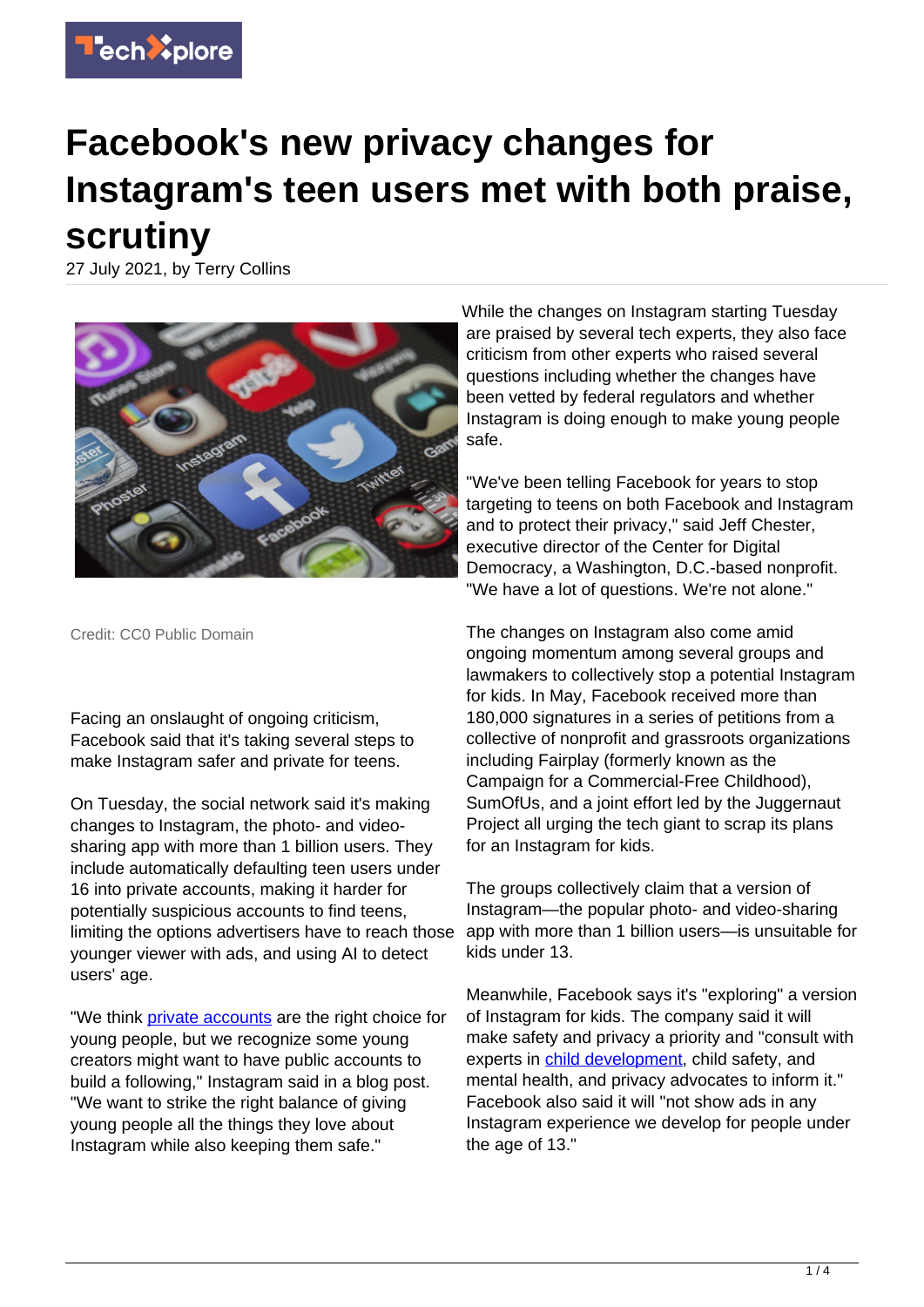

## **Facebook's new privacy changes for Instagram's teen users met with both praise, scrutiny**

27 July 2021, by Terry Collins



Credit: CC0 Public Domain

Facing an onslaught of ongoing criticism, Facebook said that it's taking several steps to make Instagram safer and private for teens.

On Tuesday, the social network said it's making changes to Instagram, the photo- and videosharing app with more than 1 billion users. They include automatically defaulting teen users under 16 into private accounts, making it harder for potentially suspicious accounts to find teens, limiting the options advertisers have to reach those younger viewer with ads, and using AI to detect users' age.

"We think [private accounts](https://techxplore.com/tags/private+accounts/) are the right choice for young people, but we recognize some young creators might want to have public accounts to build a following," Instagram said in a blog post. "We want to strike the right balance of giving young people all the things they love about Instagram while also keeping them safe."

While the changes on Instagram starting Tuesday are praised by several tech experts, they also face criticism from other experts who raised several questions including whether the changes have been vetted by federal regulators and whether Instagram is doing enough to make young people safe.

"We've been telling Facebook for years to stop targeting to teens on both Facebook and Instagram and to protect their privacy," said Jeff Chester, executive director of the Center for Digital Democracy, a Washington, D.C.-based nonprofit. "We have a lot of questions. We're not alone."

The changes on Instagram also come amid ongoing momentum among several groups and lawmakers to collectively stop a potential Instagram for kids. In May, Facebook received more than 180,000 signatures in a series of petitions from a collective of nonprofit and grassroots organizations including Fairplay (formerly known as the Campaign for a Commercial-Free Childhood), SumOfUs, and a joint effort led by the Juggernaut Project all urging the tech giant to scrap its plans for an Instagram for kids.

The groups collectively claim that a version of Instagram—the popular photo- and video-sharing app with more than 1 billion users—is unsuitable for kids under 13.

Meanwhile, Facebook says it's "exploring" a version of Instagram for kids. The company said it will make safety and privacy a priority and "consult with experts in [child development,](https://techxplore.com/tags/child+development/) child safety, and mental health, and privacy advocates to inform it." Facebook also said it will "not show ads in any Instagram experience we develop for people under the age of 13."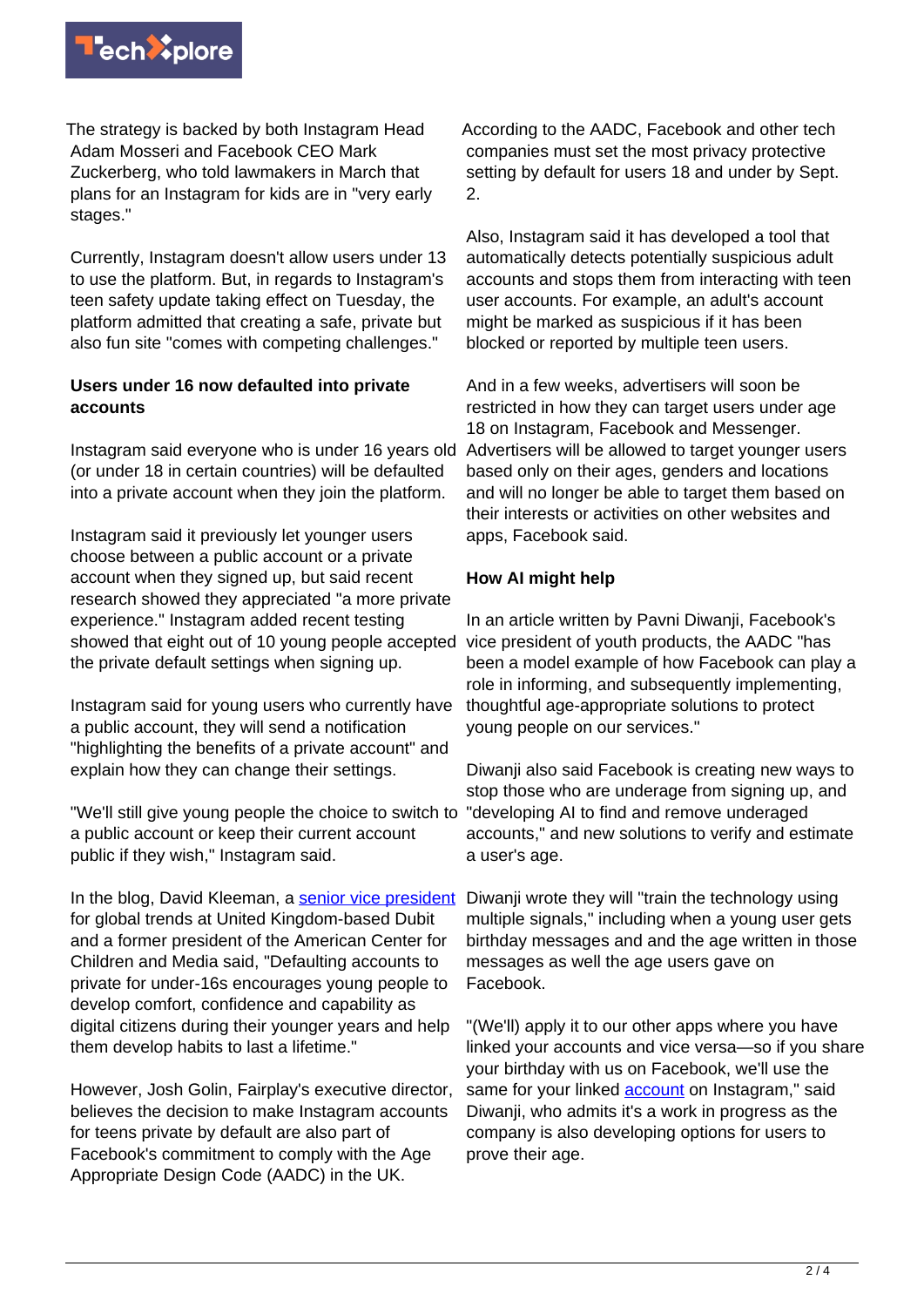

The strategy is backed by both Instagram Head Adam Mosseri and Facebook CEO Mark Zuckerberg, who told lawmakers in March that plans for an Instagram for kids are in "very early stages."

Currently, Instagram doesn't allow users under 13 to use the platform. But, in regards to Instagram's teen safety update taking effect on Tuesday, the platform admitted that creating a safe, private but also fun site "comes with competing challenges."

## **Users under 16 now defaulted into private accounts**

Instagram said everyone who is under 16 years old (or under 18 in certain countries) will be defaulted into a private account when they join the platform.

Instagram said it previously let younger users choose between a public account or a private account when they signed up, but said recent research showed they appreciated "a more private experience." Instagram added recent testing showed that eight out of 10 young people accepted the private default settings when signing up.

Instagram said for young users who currently have a public account, they will send a notification "highlighting the benefits of a private account" and explain how they can change their settings.

"We'll still give young people the choice to switch to "developing AI to find and remove underaged a public account or keep their current account public if they wish," Instagram said.

In the blog, David Kleeman, a **[senior vice president](https://techxplore.com/tags/senior+vice+president/)** Diwanji wrote they will "train the technology using for global trends at United Kingdom-based Dubit and a former president of the American Center for Children and Media said, "Defaulting accounts to private for under-16s encourages young people to develop comfort, confidence and capability as digital citizens during their younger years and help them develop habits to last a lifetime."

However, Josh Golin, Fairplay's executive director, believes the decision to make Instagram accounts for teens private by default are also part of Facebook's commitment to comply with the Age Appropriate Design Code (AADC) in the UK.

According to the AADC, Facebook and other tech companies must set the most privacy protective setting by default for users 18 and under by Sept. 2.

Also, Instagram said it has developed a tool that automatically detects potentially suspicious adult accounts and stops them from interacting with teen user accounts. For example, an adult's account might be marked as suspicious if it has been blocked or reported by multiple teen users.

And in a few weeks, advertisers will soon be restricted in how they can target users under age 18 on Instagram, Facebook and Messenger. Advertisers will be allowed to target younger users based only on their ages, genders and locations and will no longer be able to target them based on their interests or activities on other websites and apps, Facebook said.

## **How AI might help**

In an article written by Pavni Diwanji, Facebook's vice president of youth products, the AADC "has been a model example of how Facebook can play a role in informing, and subsequently implementing, thoughtful age-appropriate solutions to protect young people on our services."

Diwanji also said Facebook is creating new ways to stop those who are underage from signing up, and accounts," and new solutions to verify and estimate a user's age.

multiple signals," including when a young user gets birthday messages and and the age written in those messages as well the age users gave on Facebook.

"(We'll) apply it to our other apps where you have linked your accounts and vice versa—so if you share your birthday with us on Facebook, we'll use the same for your linked [account](https://techxplore.com/tags/account/) on Instagram," said Diwanji, who admits it's a work in progress as the company is also developing options for users to prove their age.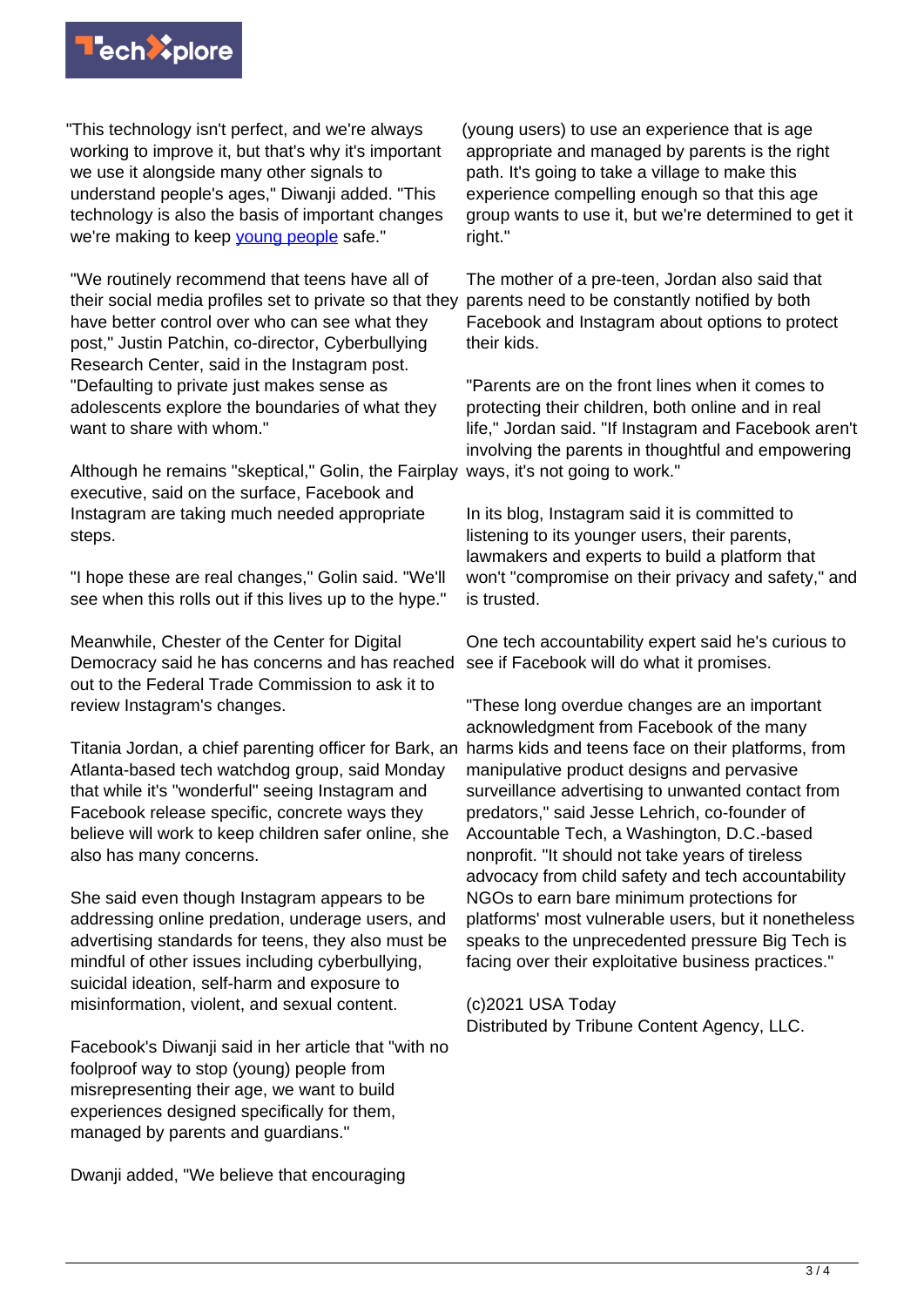

"This technology isn't perfect, and we're always working to improve it, but that's why it's important we use it alongside many other signals to understand people's ages," Diwanji added. "This technology is also the basis of important changes we're making to keep [young people](https://techxplore.com/tags/young+people/) safe."

"We routinely recommend that teens have all of their social media profiles set to private so that they have better control over who can see what they post," Justin Patchin, co-director, Cyberbullying Research Center, said in the Instagram post. "Defaulting to private just makes sense as adolescents explore the boundaries of what they want to share with whom."

Although he remains "skeptical," Golin, the Fairplay executive, said on the surface, Facebook and Instagram are taking much needed appropriate steps.

"I hope these are real changes," Golin said. "We'll see when this rolls out if this lives up to the hype."

Meanwhile, Chester of the Center for Digital Democracy said he has concerns and has reached out to the Federal Trade Commission to ask it to review Instagram's changes.

Titania Jordan, a chief parenting officer for Bark, an Atlanta-based tech watchdog group, said Monday that while it's "wonderful" seeing Instagram and Facebook release specific, concrete ways they believe will work to keep children safer online, she also has many concerns.

She said even though Instagram appears to be addressing online predation, underage users, and advertising standards for teens, they also must be mindful of other issues including cyberbullying, suicidal ideation, self-harm and exposure to misinformation, violent, and sexual content.

Facebook's Diwanji said in her article that "with no foolproof way to stop (young) people from misrepresenting their age, we want to build experiences designed specifically for them, managed by parents and guardians."

Dwanji added, "We believe that encouraging

(young users) to use an experience that is age appropriate and managed by parents is the right path. It's going to take a village to make this experience compelling enough so that this age group wants to use it, but we're determined to get it right."

The mother of a pre-teen, Jordan also said that parents need to be constantly notified by both Facebook and Instagram about options to protect their kids.

"Parents are on the front lines when it comes to protecting their children, both online and in real life," Jordan said. "If Instagram and Facebook aren't involving the parents in thoughtful and empowering ways, it's not going to work."

In its blog, Instagram said it is committed to listening to its younger users, their parents, lawmakers and experts to build a platform that won't "compromise on their privacy and safety," and is trusted.

One tech accountability expert said he's curious to see if Facebook will do what it promises.

"These long overdue changes are an important acknowledgment from Facebook of the many harms kids and teens face on their platforms, from manipulative product designs and pervasive surveillance advertising to unwanted contact from predators," said Jesse Lehrich, co-founder of Accountable Tech, a Washington, D.C.-based nonprofit. "It should not take years of tireless advocacy from child safety and tech accountability NGOs to earn bare minimum protections for platforms' most vulnerable users, but it nonetheless speaks to the unprecedented pressure Big Tech is facing over their exploitative business practices."

## (c)2021 USA Today

Distributed by Tribune Content Agency, LLC.